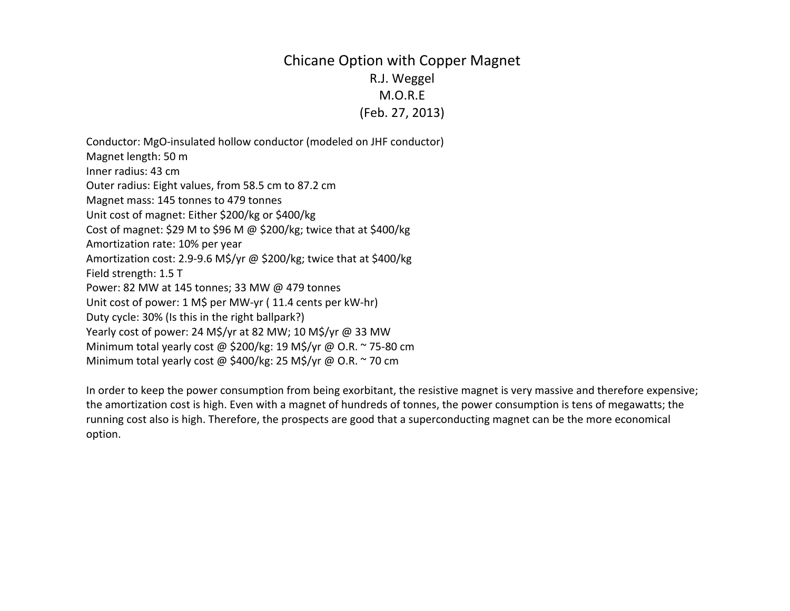## Chicane Option with Copper Magnet R.J. Weggel M.O.R.E(Feb. 27, 2013)

Conductor: MgO‐insulated hollow conductor (modeled on JHF conductor) Magnet length: 50 <sup>m</sup> Inner radius: 43 cm Outer radius: Eight values, from 58.5 cm to 87.2 cm Magnet mass: 145 tonnes to 479 tonnes Unit cost of magnet: Either \$200/kg or \$400/kg Cost of magnet: \$29 <sup>M</sup> to \$96 <sup>M</sup> @ \$200/kg; twice that at \$400/kg Amortization rate: 10% per year Amortization cost: 2.9‐9.6 M\$/yr @ \$200/kg; twice that at \$400/kg Field strength: 1.5 T Power: 82 MW at 145 tonnes; 33 MW @ 479 tonnes Unit cost of power: <sup>1</sup> M\$ per MW‐yr ( 11.4 cents per kW‐hr) Duty cycle: 30% (Is this in the right ballpark?) Yearly cost of power: <sup>24</sup> M\$/yr at 82 MW; 10 M\$/yr @ 33 MW Minimum total yearly cost @ \$200/kg: 19 M\$/yr @ O.R. <sup>~</sup> <sup>75</sup>‐80 cm Minimum total yearly cost @ \$400/kg: 25 M\$/yr @ O.R. <sup>~</sup> 70 cm

In order to keep the power consumption from being exorbitant, the resistive magnet is very massive and therefore expensive; the amortization cost is high. Even with <sup>a</sup> magnet of hundreds of tonnes, the power consumption is tens of megawatts; the running cost also is high. Therefore, the prospects are good that <sup>a</sup> superconducting magnet can be the more economical option.